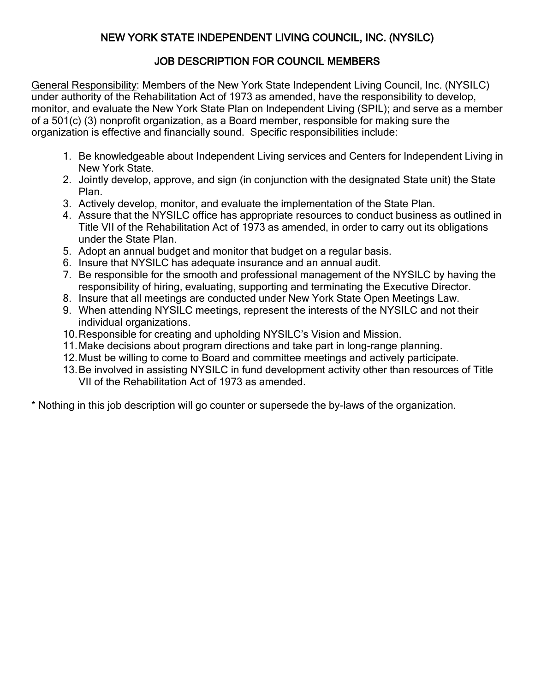# NEW YORK STATE INDEPENDENT LIVING COUNCIL, INC. (NYSILC)

## JOB DESCRIPTION FOR COUNCIL MEMBERS

General Responsibility: Members of the New York State Independent Living Council, Inc. (NYSILC) under authority of the Rehabilitation Act of 1973 as amended, have the responsibility to develop, monitor, and evaluate the New York State Plan on Independent Living (SPIL); and serve as a member of a 501(c) (3) nonprofit organization, as a Board member, responsible for making sure the organization is effective and financially sound. Specific responsibilities include:

- 1. Be knowledgeable about Independent Living services and Centers for Independent Living in New York State.
- 2. Jointly develop, approve, and sign (in conjunction with the designated State unit) the State Plan.
- 3. Actively develop, monitor, and evaluate the implementation of the State Plan.
- 4. Assure that the NYSILC office has appropriate resources to conduct business as outlined in Title VII of the Rehabilitation Act of 1973 as amended, in order to carry out its obligations under the State Plan.
- 5. Adopt an annual budget and monitor that budget on a regular basis.
- 6. Insure that NYSILC has adequate insurance and an annual audit.
- 7. Be responsible for the smooth and professional management of the NYSILC by having the responsibility of hiring, evaluating, supporting and terminating the Executive Director.
- 8. Insure that all meetings are conducted under New York State Open Meetings Law.
- 9. When attending NYSILC meetings, represent the interests of the NYSILC and not their individual organizations.
- 10.Responsible for creating and upholding NYSILC's Vision and Mission.
- 11.Make decisions about program directions and take part in long-range planning.
- 12.Must be willing to come to Board and committee meetings and actively participate.
- 13.Be involved in assisting NYSILC in fund development activity other than resources of Title VII of the Rehabilitation Act of 1973 as amended.

\* Nothing in this job description will go counter or supersede the by-laws of the organization.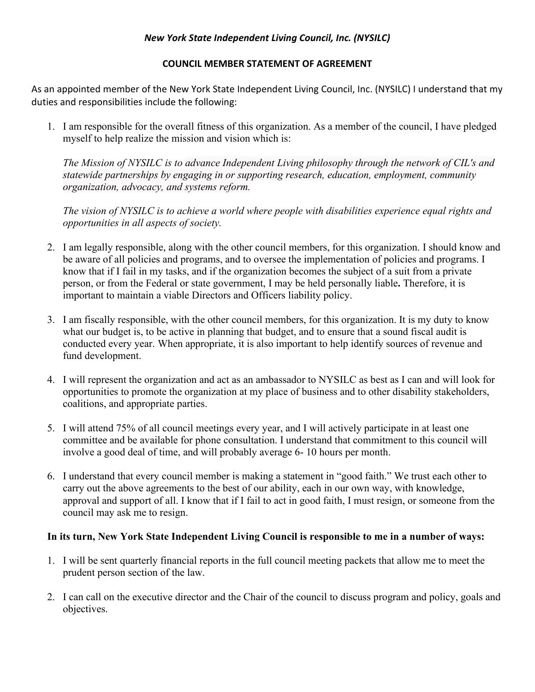### *New York State Independent Living Council, Inc. (NYSILC)*

#### **COUNCIL MEMBER STATEMENT OF AGREEMENT**

As an appointed member of the New York State Independent Living Council, Inc. (NYSILC) I understand that my duties and responsibilities include the following:

1. I am responsible for the overall fitness of this organization. As a member of the council, I have pledged myself to help realize the mission and vision which is:

*The Mission of NYSILC is to advance Independent Living philosophy through the network of CIL's and statewide partnerships by engaging in or supporting research, education, employment, community organization, advocacy, and systems reform.*

*The vision of NYSILC is to achieve a world where people with disabilities experience equal rights and opportunities in all aspects of society.* 

- 2. I am legally responsible, along with the other council members, for this organization. I should know and be aware of all policies and programs, and to oversee the implementation of policies and programs. I know that if I fail in my tasks, and if the organization becomes the subject of a suit from a private person, or from the Federal or state government, I may be held personally liable**.** Therefore, it is important to maintain a viable Directors and Officers liability policy.
- 3. I am fiscally responsible, with the other council members, for this organization. It is my duty to know what our budget is, to be active in planning that budget, and to ensure that a sound fiscal audit is conducted every year. When appropriate, it is also important to help identify sources of revenue and fund development.
- 4. I will represent the organization and act as an ambassador to NYSILC as best as I can and will look for opportunities to promote the organization at my place of business and to other disability stakeholders, coalitions, and appropriate parties.
- 5. I will attend 75% of all council meetings every year, and I will actively participate in at least one committee and be available for phone consultation. I understand that commitment to this council will involve a good deal of time, and will probably average 6- 10 hours per month.
- 6. I understand that every council member is making a statement in "good faith." We trust each other to carry out the above agreements to the best of our ability, each in our own way, with knowledge, approval and support of all. I know that if I fail to act in good faith, I must resign, or someone from the council may ask me to resign.

### **In its turn, New York State Independent Living Council is responsible to me in a number of ways:**

- 1. I will be sent quarterly financial reports in the full council meeting packets that allow me to meet the prudent person section of the law.
- 2. I can call on the executive director and the Chair of the council to discuss program and policy, goals and objectives.